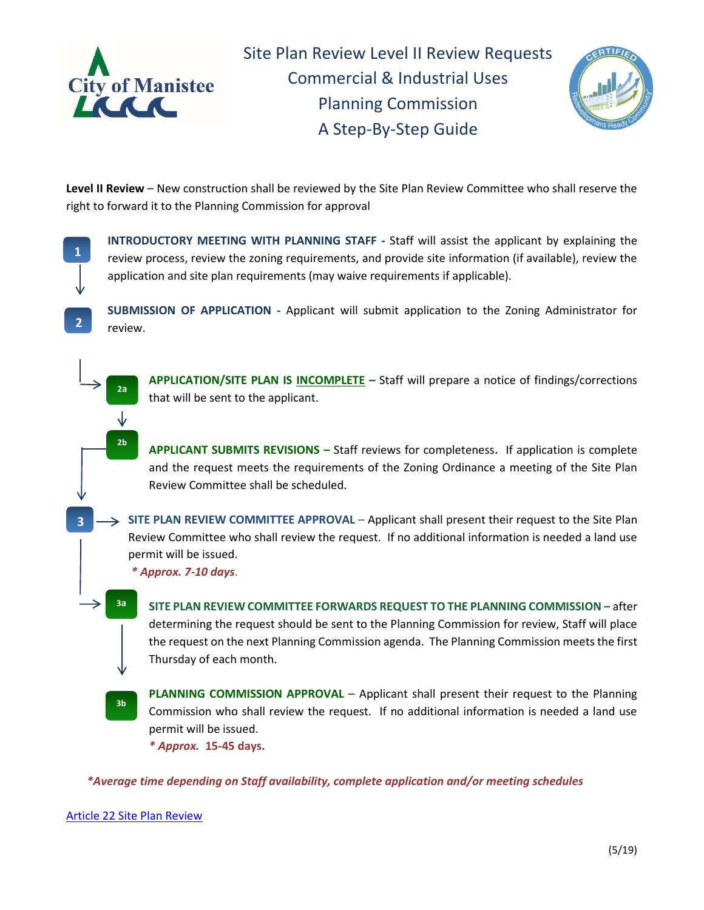

Site Plan Review Level II Review Requests Commercial & Industrial Uses Planning Commission A Step-By-Step Guide



**Level II Review** – New construction shall be reviewed by the Site Plan Review Committee who shall reserve the right to forward it to the Planning Commission for approval

**1**

**2**

**3**

**INTRODUCTORY MEETING WITH PLANNING STAFF -** Staff will assist the applicant by explaining the review process, review the zoning requirements, and provide site information (if available), review the application and site plan requirements (may waive requirements if applicable).

**SUBMISSION OF APPLICATION -** Applicant will submit application to the Zoning Administrator for review.

**APPLICATION/SITE PLAN IS INCOMPLETE –** Staff will prepare a notice of findings/corrections that will be sent to the applicant.

**APPLICANT SUBMITS REVISIONS –** Staff reviews for completeness**.** If application is complete and the request meets the requirements of the Zoning Ordinance a meeting of the Site Plan Review Committee shall be scheduled.

**SITE PLAN REVIEW COMMITTEE APPROVAL** – Applicant shall present their request to the Site Plan Review Committee who shall review the request. If no additional information is needed a land use permit will be issued.

*\* Approx. 7-10 days*.

**SITE PLAN REVIEW COMMITTEE FORWARDS REQUEST TO THE PLANNING COMMISSION –** after determining the request should be sent to the Planning Commission for review, Staff will place the request on the next Planning Commission agenda. The Planning Commission meets the first Thursday of each month.

**PLANNING COMMISSION APPROVAL –** Applicant shall present their request to the Planning Commission who shall review the request. If no additional information is needed a land use permit will be issued.

*\* Approx.* **15-45 days.** 

*\*Average time depending on Staff availability, complete application and/or meeting schedules* 

[Article 22 Site Plan Review](http://www.manisteemi.gov/DocumentCenter/View/347) 

**3a** a. a

**2a** a. Y **2b** a.

**3b** a.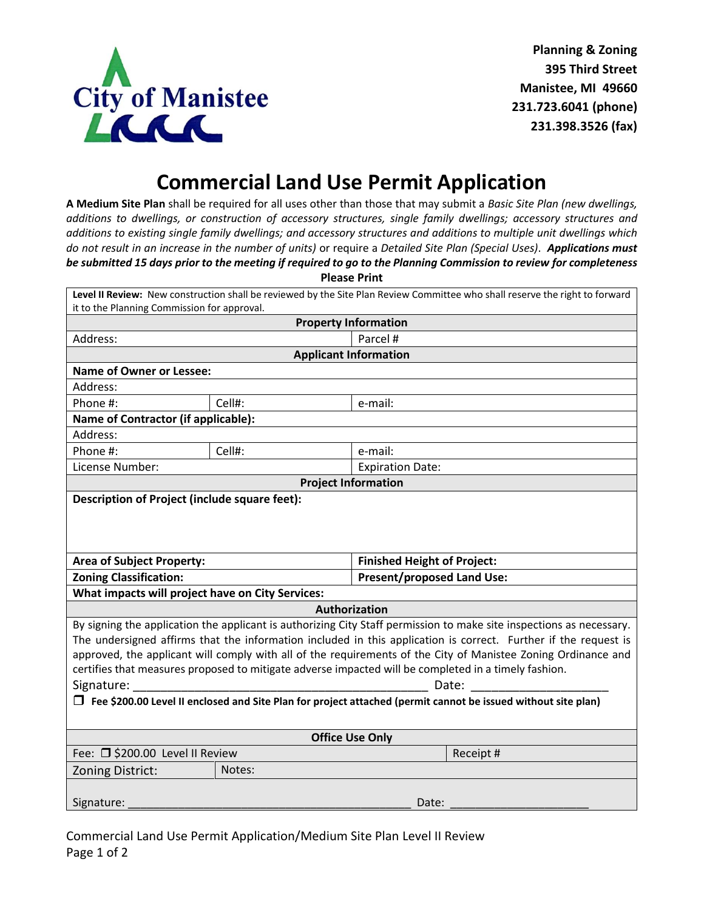

## **Commercial Land Use Permit Application**

**A Medium Site Plan** shall be required for all uses other than those that may submit a *Basic Site Plan (new dwellings, additions to dwellings, or construction of accessory structures, single family dwellings; accessory structures and additions to existing single family dwellings; and accessory structures and additions to multiple unit dwellings which do not result in an increase in the number of units)* or require a *Detailed Site Plan (Special Uses)*. *Applications must be submitted 15 days prior to the meeting if required to go to the Planning Commission to review for completeness* **Please Print**

| Level II Review: New construction shall be reviewed by the Site Plan Review Committee who shall reserve the right to forward                                                                                                                                                                                                                                                                                                                                                                                                                                                                                    |        |                                    |           |  |
|-----------------------------------------------------------------------------------------------------------------------------------------------------------------------------------------------------------------------------------------------------------------------------------------------------------------------------------------------------------------------------------------------------------------------------------------------------------------------------------------------------------------------------------------------------------------------------------------------------------------|--------|------------------------------------|-----------|--|
| it to the Planning Commission for approval.                                                                                                                                                                                                                                                                                                                                                                                                                                                                                                                                                                     |        |                                    |           |  |
| <b>Property Information</b>                                                                                                                                                                                                                                                                                                                                                                                                                                                                                                                                                                                     |        |                                    |           |  |
| Address:                                                                                                                                                                                                                                                                                                                                                                                                                                                                                                                                                                                                        |        | Parcel #                           |           |  |
| <b>Applicant Information</b>                                                                                                                                                                                                                                                                                                                                                                                                                                                                                                                                                                                    |        |                                    |           |  |
| <b>Name of Owner or Lessee:</b>                                                                                                                                                                                                                                                                                                                                                                                                                                                                                                                                                                                 |        |                                    |           |  |
| Address:                                                                                                                                                                                                                                                                                                                                                                                                                                                                                                                                                                                                        |        |                                    |           |  |
| Phone #:                                                                                                                                                                                                                                                                                                                                                                                                                                                                                                                                                                                                        | Cell#: | e-mail:                            |           |  |
| <b>Name of Contractor (if applicable):</b>                                                                                                                                                                                                                                                                                                                                                                                                                                                                                                                                                                      |        |                                    |           |  |
| Address:                                                                                                                                                                                                                                                                                                                                                                                                                                                                                                                                                                                                        |        |                                    |           |  |
| Phone #:                                                                                                                                                                                                                                                                                                                                                                                                                                                                                                                                                                                                        | Cell#: | e-mail:                            |           |  |
| License Number:                                                                                                                                                                                                                                                                                                                                                                                                                                                                                                                                                                                                 |        | <b>Expiration Date:</b>            |           |  |
| <b>Project Information</b>                                                                                                                                                                                                                                                                                                                                                                                                                                                                                                                                                                                      |        |                                    |           |  |
| Description of Project (include square feet):                                                                                                                                                                                                                                                                                                                                                                                                                                                                                                                                                                   |        |                                    |           |  |
| <b>Area of Subject Property:</b>                                                                                                                                                                                                                                                                                                                                                                                                                                                                                                                                                                                |        | <b>Finished Height of Project:</b> |           |  |
| <b>Zoning Classification:</b>                                                                                                                                                                                                                                                                                                                                                                                                                                                                                                                                                                                   |        | <b>Present/proposed Land Use:</b>  |           |  |
| What impacts will project have on City Services:                                                                                                                                                                                                                                                                                                                                                                                                                                                                                                                                                                |        |                                    |           |  |
| Authorization                                                                                                                                                                                                                                                                                                                                                                                                                                                                                                                                                                                                   |        |                                    |           |  |
| By signing the application the applicant is authorizing City Staff permission to make site inspections as necessary.<br>The undersigned affirms that the information included in this application is correct. Further if the request is<br>approved, the applicant will comply with all of the requirements of the City of Manistee Zoning Ordinance and<br>certifies that measures proposed to mitigate adverse impacted will be completed in a timely fashion.<br>Signature:<br>Date:<br>$\Box$ Fee \$200.00 Level II enclosed and Site Plan for project attached (permit cannot be issued without site plan) |        |                                    |           |  |
| <b>Office Use Only</b>                                                                                                                                                                                                                                                                                                                                                                                                                                                                                                                                                                                          |        |                                    |           |  |
| Fee: □ \$200.00 Level II Review                                                                                                                                                                                                                                                                                                                                                                                                                                                                                                                                                                                 |        |                                    | Receipt # |  |
| <b>Zoning District:</b>                                                                                                                                                                                                                                                                                                                                                                                                                                                                                                                                                                                         | Notes: |                                    |           |  |
| Signature:<br>Date:                                                                                                                                                                                                                                                                                                                                                                                                                                                                                                                                                                                             |        |                                    |           |  |

Commercial Land Use Permit Application/Medium Site Plan Level II Review Page 1 of 2